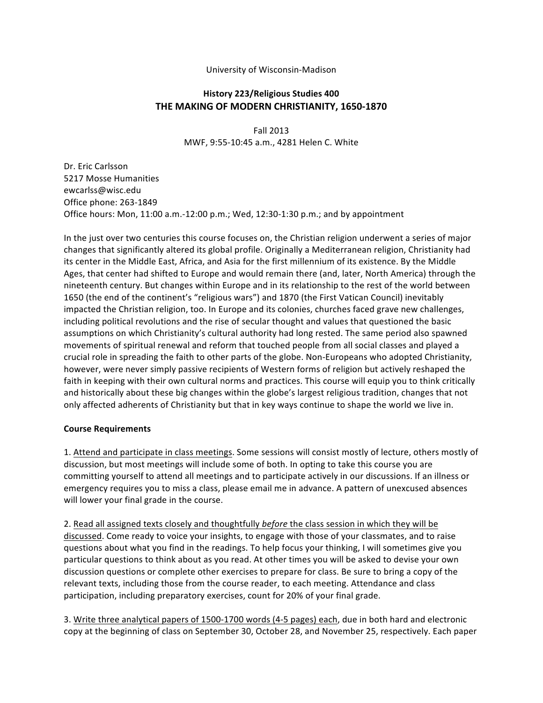### University of Wisconsin-Madison

# **History 223/Religious Studies 400 THE MAKING OF MODERN CHRISTIANITY, 1650-1870**

Fall 2013 MWF, 9:55-10:45 a.m., 4281 Helen C. White

Dr. Eric Carlsson 5217 Mosse Humanities ewcarlss@wisc.edu Office phone: 263-1849 Office hours: Mon,  $11:00$  a.m.-12:00 p.m.; Wed,  $12:30$ -1:30 p.m.; and by appointment

In the just over two centuries this course focuses on, the Christian religion underwent a series of major changes that significantly altered its global profile. Originally a Mediterranean religion, Christianity had its center in the Middle East, Africa, and Asia for the first millennium of its existence. By the Middle Ages, that center had shifted to Europe and would remain there (and, later, North America) through the nineteenth century. But changes within Europe and in its relationship to the rest of the world between 1650 (the end of the continent's "religious wars") and 1870 (the First Vatican Council) inevitably impacted the Christian religion, too. In Europe and its colonies, churches faced grave new challenges, including political revolutions and the rise of secular thought and values that questioned the basic assumptions on which Christianity's cultural authority had long rested. The same period also spawned movements of spiritual renewal and reform that touched people from all social classes and played a crucial role in spreading the faith to other parts of the globe. Non-Europeans who adopted Christianity, however, were never simply passive recipients of Western forms of religion but actively reshaped the faith in keeping with their own cultural norms and practices. This course will equip you to think critically and historically about these big changes within the globe's largest religious tradition, changes that not only affected adherents of Christianity but that in key ways continue to shape the world we live in.

#### **Course Requirements**

1. Attend and participate in class meetings. Some sessions will consist mostly of lecture, others mostly of discussion, but most meetings will include some of both. In opting to take this course you are committing yourself to attend all meetings and to participate actively in our discussions. If an illness or emergency requires you to miss a class, please email me in advance. A pattern of unexcused absences will lower your final grade in the course.

2. Read all assigned texts closely and thoughtfully *before* the class session in which they will be discussed. Come ready to voice your insights, to engage with those of your classmates, and to raise questions about what you find in the readings. To help focus your thinking, I will sometimes give you particular questions to think about as you read. At other times you will be asked to devise your own discussion questions or complete other exercises to prepare for class. Be sure to bring a copy of the relevant texts, including those from the course reader, to each meeting. Attendance and class participation, including preparatory exercises, count for 20% of your final grade.

3. Write three analytical papers of 1500-1700 words (4-5 pages) each, due in both hard and electronic copy at the beginning of class on September 30, October 28, and November 25, respectively. Each paper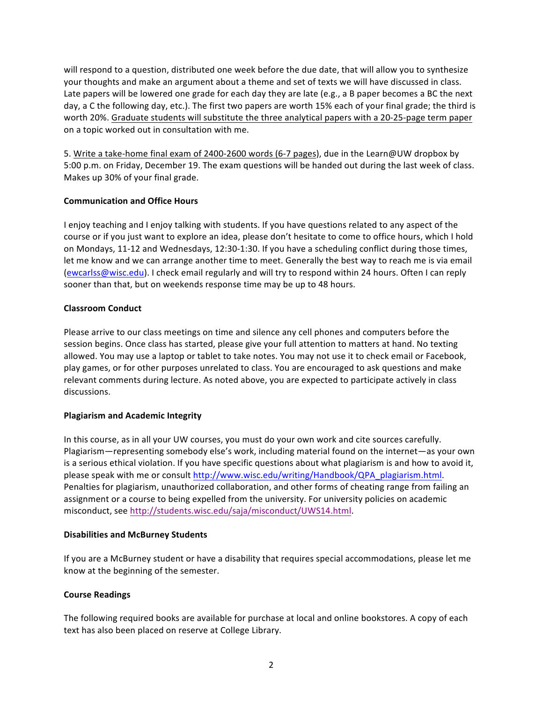will respond to a question, distributed one week before the due date, that will allow you to synthesize your thoughts and make an argument about a theme and set of texts we will have discussed in class. Late papers will be lowered one grade for each day they are late (e.g., a B paper becomes a BC the next day, a C the following day, etc.). The first two papers are worth 15% each of your final grade; the third is worth 20%. Graduate students will substitute the three analytical papers with a 20-25-page term paper on a topic worked out in consultation with me.

5. Write a take-home final exam of 2400-2600 words (6-7 pages), due in the Learn@UW dropbox by 5:00 p.m. on Friday, December 19. The exam questions will be handed out during the last week of class. Makes up 30% of your final grade.

# **Communication and Office Hours**

I enjoy teaching and I enjoy talking with students. If you have questions related to any aspect of the course or if you just want to explore an idea, please don't hesitate to come to office hours, which I hold on Mondays, 11-12 and Wednesdays, 12:30-1:30. If you have a scheduling conflict during those times, let me know and we can arrange another time to meet. Generally the best way to reach me is via email (ewcarlss@wisc.edu). I check email regularly and will try to respond within 24 hours. Often I can reply sooner than that, but on weekends response time may be up to 48 hours.

# **Classroom Conduct**

Please arrive to our class meetings on time and silence any cell phones and computers before the session begins. Once class has started, please give your full attention to matters at hand. No texting allowed. You may use a laptop or tablet to take notes. You may not use it to check email or Facebook, play games, or for other purposes unrelated to class. You are encouraged to ask questions and make relevant comments during lecture. As noted above, you are expected to participate actively in class discussions.

# **Plagiarism and Academic Integrity**

In this course, as in all your UW courses, you must do your own work and cite sources carefully. Plagiarism—representing somebody else's work, including material found on the internet—as your own is a serious ethical violation. If you have specific questions about what plagiarism is and how to avoid it, please speak with me or consult http://www.wisc.edu/writing/Handbook/QPA\_plagiarism.html. Penalties for plagiarism, unauthorized collaboration, and other forms of cheating range from failing an assignment or a course to being expelled from the university. For university policies on academic misconduct, see http://students.wisc.edu/saja/misconduct/UWS14.html.

# **Disabilities and McBurney Students**

If you are a McBurney student or have a disability that requires special accommodations, please let me know at the beginning of the semester.

# **Course Readings**

The following required books are available for purchase at local and online bookstores. A copy of each text has also been placed on reserve at College Library.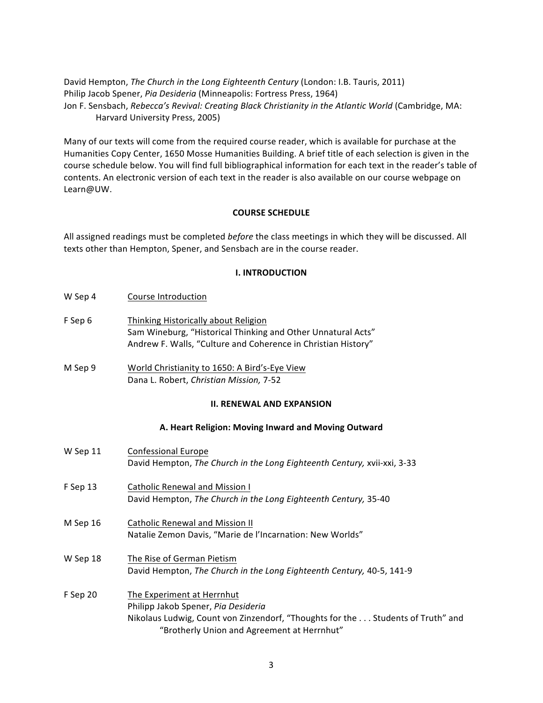David Hempton, *The Church in the Long Eighteenth Century* (London: I.B. Tauris, 2011) Philip Jacob Spener, *Pia Desideria* (Minneapolis: Fortress Press, 1964) Jon F. Sensbach, Rebecca's Revival: Creating Black Christianity in the Atlantic World (Cambridge, MA: Harvard University Press, 2005)

Many of our texts will come from the required course reader, which is available for purchase at the Humanities Copy Center, 1650 Mosse Humanities Building. A brief title of each selection is given in the course schedule below. You will find full bibliographical information for each text in the reader's table of contents. An electronic version of each text in the reader is also available on our course webpage on Learn@UW.

### **COURSE SCHEDULE**

All assigned readings must be completed *before* the class meetings in which they will be discussed. All texts other than Hempton, Spener, and Sensbach are in the course reader.

#### **I. INTRODUCTION**

- F Sep 6 Thinking Historically about Religion Sam Wineburg, "Historical Thinking and Other Unnatural Acts" Andrew F. Walls, "Culture and Coherence in Christian History"
- M Sep 9 World Christianity to 1650: A Bird's-Eye View Dana L. Robert, *Christian Mission*, 7-52

#### **II. RENEWAL AND EXPANSION**

#### **A. Heart Religion: Moving Inward and Moving Outward**

| W Sep 11 | Confessional Europe<br>David Hempton, The Church in the Long Eighteenth Century, xvii-xxi, 3-33                                                                                                      |
|----------|------------------------------------------------------------------------------------------------------------------------------------------------------------------------------------------------------|
| F Sep 13 | <b>Catholic Renewal and Mission I</b><br>David Hempton, The Church in the Long Eighteenth Century, 35-40                                                                                             |
| M Sep 16 | <b>Catholic Renewal and Mission II</b><br>Natalie Zemon Davis, "Marie de l'Incarnation: New Worlds"                                                                                                  |
| W Sep 18 | The Rise of German Pietism<br>David Hempton, The Church in the Long Eighteenth Century, 40-5, 141-9                                                                                                  |
| F Sep 20 | The Experiment at Herrnhut<br>Philipp Jakob Spener, Pia Desideria<br>Nikolaus Ludwig, Count von Zinzendorf, "Thoughts for the  Students of Truth" and<br>"Brotherly Union and Agreement at Herrnhut" |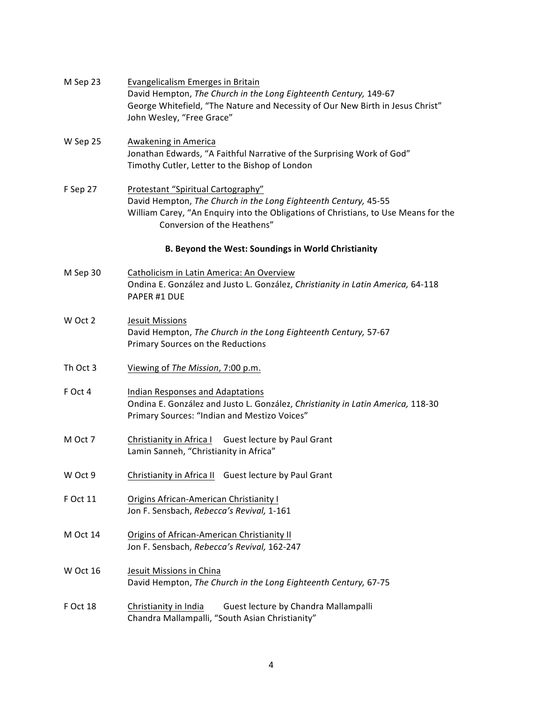| M Sep 23 | Evangelicalism Emerges in Britain<br>David Hempton, The Church in the Long Eighteenth Century, 149-67<br>George Whitefield, "The Nature and Necessity of Our New Birth in Jesus Christ"<br>John Wesley, "Free Grace"        |
|----------|-----------------------------------------------------------------------------------------------------------------------------------------------------------------------------------------------------------------------------|
| W Sep 25 | <b>Awakening in America</b><br>Jonathan Edwards, "A Faithful Narrative of the Surprising Work of God"<br>Timothy Cutler, Letter to the Bishop of London                                                                     |
| F Sep 27 | Protestant "Spiritual Cartography"<br>David Hempton, The Church in the Long Eighteenth Century, 45-55<br>William Carey, "An Enquiry into the Obligations of Christians, to Use Means for the<br>Conversion of the Heathens" |
|          | B. Beyond the West: Soundings in World Christianity                                                                                                                                                                         |
| M Sep 30 | Catholicism in Latin America: An Overview<br>Ondina E. González and Justo L. González, Christianity in Latin America, 64-118<br>PAPER #1 DUE                                                                                |
| W Oct 2  | Jesuit Missions<br>David Hempton, The Church in the Long Eighteenth Century, 57-67<br>Primary Sources on the Reductions                                                                                                     |
| Th Oct 3 | Viewing of The Mission, 7:00 p.m.                                                                                                                                                                                           |
| F Oct 4  | <b>Indian Responses and Adaptations</b><br>Ondina E. González and Justo L. González, Christianity in Latin America, 118-30<br>Primary Sources: "Indian and Mestizo Voices"                                                  |
| M Oct 7  | Christianity in Africa I Guest lecture by Paul Grant<br>Lamin Sanneh, "Christianity in Africa"                                                                                                                              |
| W Oct 9  | Christianity in Africa II Guest lecture by Paul Grant                                                                                                                                                                       |
| F Oct 11 | Origins African-American Christianity I<br>Jon F. Sensbach, Rebecca's Revival, 1-161                                                                                                                                        |
| M Oct 14 | <b>Origins of African-American Christianity II</b><br>Jon F. Sensbach, Rebecca's Revival, 162-247                                                                                                                           |
| W Oct 16 | Jesuit Missions in China<br>David Hempton, The Church in the Long Eighteenth Century, 67-75                                                                                                                                 |
| F Oct 18 | Christianity in India<br>Guest lecture by Chandra Mallampalli<br>Chandra Mallampalli, "South Asian Christianity"                                                                                                            |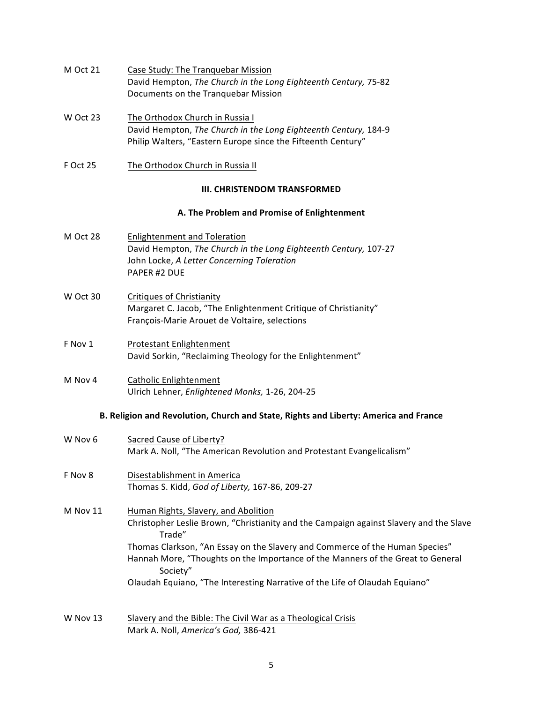| Case Study: The Tranguebar Mission                              |
|-----------------------------------------------------------------|
| David Hempton, The Church in the Long Eighteenth Century, 75-82 |
| Documents on the Tranguebar Mission                             |
|                                                                 |

- W Oct 23 The Orthodox Church in Russia I David Hempton, The Church in the Long Eighteenth Century, 184-9 Philip Walters, "Eastern Europe since the Fifteenth Century"
- F Oct 25 The Orthodox Church in Russia II

# **III. CHRISTENDOM TRANSFORMED**

# **A. The Problem and Promise of Enlightenment**

- M Oct 28 Enlightenment and Toleration David Hempton, The Church in the Long Eighteenth Century, 107-27 John Locke, A Letter Concerning Toleration PAPER #2 DUE
- W Oct 30 Critiques of Christianity Margaret C. Jacob, "The Enlightenment Critique of Christianity" François-Marie Arouet de Voltaire, selections
- F Nov 1 Protestant Enlightenment David Sorkin, "Reclaiming Theology for the Enlightenment"
- M Nov 4 Catholic Enlightenment Ulrich Lehner, *Enlightened Monks,* 1-26, 204-25

# **B. Religion and Revolution, Church and State, Rights and Liberty: America and France**

| W Nov 6  | Sacred Cause of Liberty?                                                                         |
|----------|--------------------------------------------------------------------------------------------------|
|          | Mark A. Noll, "The American Revolution and Protestant Evangelicalism"                            |
| F Nov 8  | Disestablishment in America                                                                      |
|          | Thomas S. Kidd, God of Liberty, 167-86, 209-27                                                   |
| M Nov 11 | Human Rights, Slavery, and Abolition                                                             |
|          | Christopher Leslie Brown, "Christianity and the Campaign against Slavery and the Slave<br>Trade" |
|          | Thomas Clarkson, "An Essay on the Slavery and Commerce of the Human Species"                     |
|          | Hannah More, "Thoughts on the Importance of the Manners of the Great to General<br>Society"      |
|          | Olaudah Equiano, "The Interesting Narrative of the Life of Olaudah Equiano"                      |
|          |                                                                                                  |
| W Nov 13 | Slavery and the Bible: The Civil War as a Theological Crisis                                     |
|          | Mark A. Noll, America's God, 386-421                                                             |